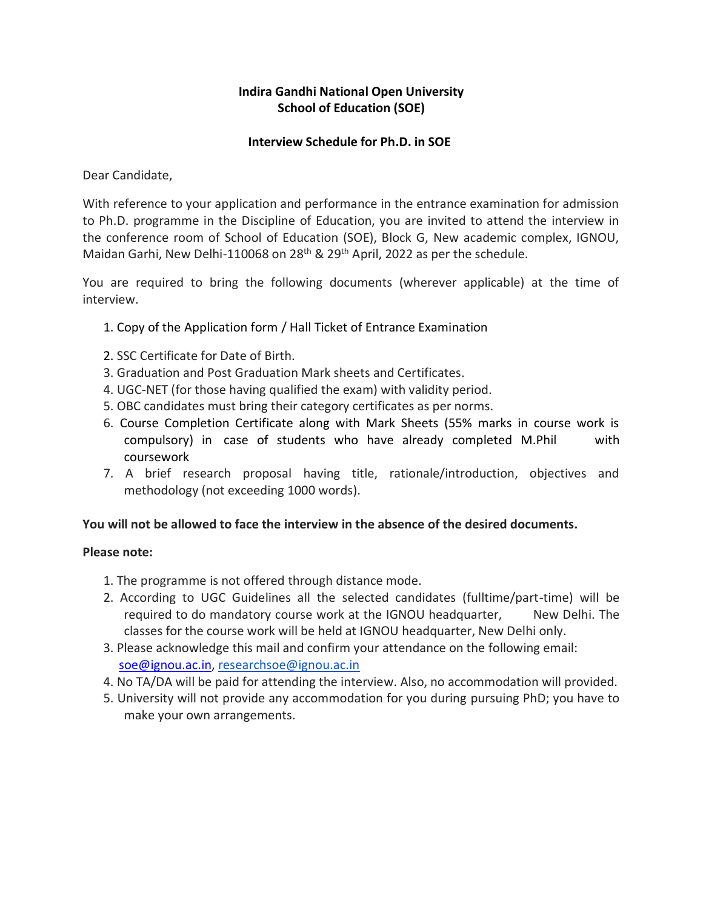### **Indira Gandhi National Open University School of Education (SOE)**

#### **Interview Schedule for Ph.D. in SOE**

Dear Candidate,

With reference to your application and performance in the entrance examination for admission to Ph.D. programme in the Discipline of Education, you are invited to attend the interview in the conference room of School of Education (SOE), Block G, New academic complex, IGNOU, Maidan Garhi, New Delhi-110068 on 28<sup>th</sup> & 29<sup>th</sup> April, 2022 as per the schedule.

You are required to bring the following documents (wherever applicable) at the time of interview.

- 1. Copy of the Application form / Hall Ticket of Entrance Examination
- 2. SSC Certificate for Date of Birth.
- 3. Graduation and Post Graduation Mark sheets and Certificates.
- 4. UGC-NET (for those having qualified the exam) with validity period.
- 5. OBC candidates must bring their category certificates as per norms.
- 6. Course Completion Certificate along with Mark Sheets (55% marks in course work is compulsory) in case of students who have already completed M.Phil with coursework
- 7. A brief research proposal having title, rationale/introduction, objectives and methodology (not exceeding 1000 words).

#### **You will not be allowed to face the interview in the absence of the desired documents.**

#### **Please note:**

- 1. The programme is not offered through distance mode.
- 2. According to UGC Guidelines all the selected candidates (fulltime/part-time) will be required to do mandatory course work at the IGNOU headquarter, New Delhi. The classes for the course work will be held at IGNOU headquarter, New Delhi only.
- 3. Please acknowledge this mail and confirm your attendance on the following email: [soe@ignou.ac.in,](mailto:directorsocis@ignou.ac.in) [researchsoe@ignou.ac.in](mailto:researchsoe@ignou.ac.in)
- 4. No TA/DA will be paid for attending the interview. Also, no accommodation will provided.
- 5. University will not provide any accommodation for you during pursuing PhD; you have to make your own arrangements.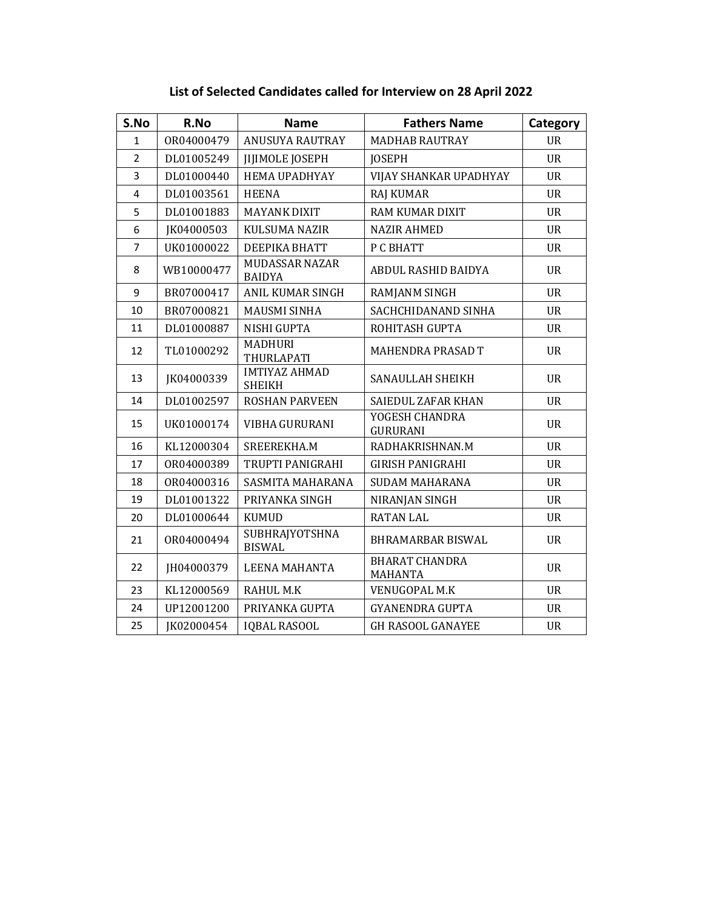| S.No           | R.No       | <b>Name</b>                           | <b>Fathers Name</b>               | Category  |
|----------------|------------|---------------------------------------|-----------------------------------|-----------|
| $\mathbf{1}$   | OR04000479 | <b>ANUSUYA RAUTRAY</b>                | <b>MADHAB RAUTRAY</b>             | <b>UR</b> |
| $\overline{2}$ | DL01005249 | <b>JIJIMOLE JOSEPH</b>                | <b>JOSEPH</b>                     | <b>UR</b> |
| 3              | DL01000440 | HEMA UPADHYAY                         | VIJAY SHANKAR UPADHYAY            | <b>UR</b> |
| 4              | DL01003561 | <b>HEENA</b>                          | <b>RAJ KUMAR</b>                  | <b>UR</b> |
| 5              | DL01001883 | <b>MAYANK DIXIT</b>                   | RAM KUMAR DIXIT                   | <b>UR</b> |
| 6              | JK04000503 | KULSUMA NAZIR                         | <b>NAZIR AHMED</b>                | <b>UR</b> |
| $\overline{7}$ | UK01000022 | <b><i>DEEPIKA BHATT</i></b>           | P C BHATT                         | <b>UR</b> |
| 8              | WB10000477 | MUDASSAR NAZAR<br><b>BAIDYA</b>       | ABDUL RASHID BAIDYA               | <b>UR</b> |
| 9              | BR07000417 | ANIL KUMAR SINGH                      | RAMJANM SINGH                     | <b>UR</b> |
| 10             | BR07000821 | <b>MAUSMI SINHA</b>                   | SACHCHIDANAND SINHA               | <b>UR</b> |
| 11             | DL01000887 | NISHI GUPTA                           | ROHITASH GUPTA                    | <b>UR</b> |
| 12             | TL01000292 | <b>MADHURI</b><br>THURLAPATI          | MAHENDRA PRASAD T                 | <b>UR</b> |
| 13             | JK04000339 | <b>IMTIYAZ AHMAD</b><br><b>SHEIKH</b> | SANAULLAH SHEIKH                  | <b>UR</b> |
| 14             | DL01002597 | <b>ROSHAN PARVEEN</b>                 | SAIEDUL ZAFAR KHAN                | <b>UR</b> |
| 15             | UK01000174 | VIBHA GURURANI                        | YOGESH CHANDRA<br><b>GURURANI</b> | <b>UR</b> |
| 16             | KL12000304 | SREEREKHA.M                           | RADHAKRISHNAN.M                   | <b>UR</b> |
| 17             | OR04000389 | TRUPTI PANIGRAHI                      | <b>GIRISH PANIGRAHI</b>           | <b>UR</b> |
| 18             | OR04000316 | SASMITA MAHARANA                      | <b>SUDAM MAHARANA</b>             | <b>UR</b> |
| 19             | DL01001322 | PRIYANKA SINGH                        | NIRANJAN SINGH                    | <b>UR</b> |
| 20             | DL01000644 | <b>KUMUD</b>                          | <b>RATAN LAL</b>                  | <b>UR</b> |
| 21             | OR04000494 | SUBHRAJYOTSHNA<br><b>BISWAL</b>       | <b>BHRAMARBAR BISWAL</b>          | <b>UR</b> |
| 22             | JH04000379 | <b>LEENA MAHANTA</b>                  | <b>BHARAT CHANDRA</b><br>MAHANTA  | <b>UR</b> |
| 23             | KL12000569 | RAHUL M.K                             | VENUGOPAL M.K                     | <b>UR</b> |
| 24             | UP12001200 | PRIYANKA GUPTA                        | <b>GYANENDRA GUPTA</b>            | <b>UR</b> |
| 25             | JK02000454 | <b>IQBAL RASOOL</b>                   | <b>GH RASOOL GANAYEE</b>          | <b>UR</b> |

## **List of Selected Candidates called for Interview on 28 April 2022**